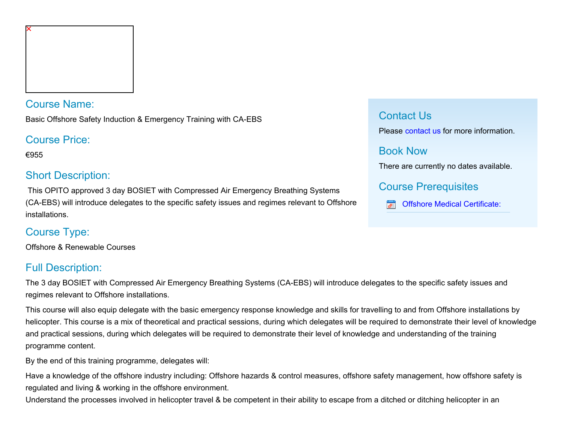## Course Name:

Basic Offshore Safety Induction & Emergency Training with CA-EBS

## Course Price:

€955

# Short Description:

 This OPITO approved 3 day BOSIET with Compressed Air Emergency Breathing Systems (CA-EBS) will introduce delegates to the specific safety issues and regimes relevant to Offshore installations.

# Course Type:

Offshore & Renewable Courses

# Full Description:

The 3 day BOSIET with Compressed Air Emergency Breathing Systems (CA-EBS) will introduce delegates to the specific safety issues and regimes relevant to Offshore installations.

This course will also equip delegate with the basic emergency response knowledge and skills for travelling to and from Offshore installations by helicopter. This course is a mix of theoretical and practical sessions, during which delegates will be required to demonstrate their level of knowledge and practical sessions, during which delegates will be required to demonstrate their level of knowledge and understanding of the training programme content.

By the end of this training programme, delegates will:

Have a knowledge of the offshore industry including: Offshore hazards & control measures, offshore safety management, how offshore safety is regulated and living & working in the offshore environment.

Understand the processes involved in helicopter travel & be competent in their ability to escape from a ditched or ditching helicopter in an

## Contact Us

Please [contact us](https://www.nmci.ie/index.cfm/page/contactdetails/cid/48700253) for more information.

## Book Now

There are currently no dates available.

Course Prerequisites

[Offshore Medical Certificate:](javascript:CommercialCourse.Prerequisites.PrerequisiteInfo( 48700253,1 ))क्रि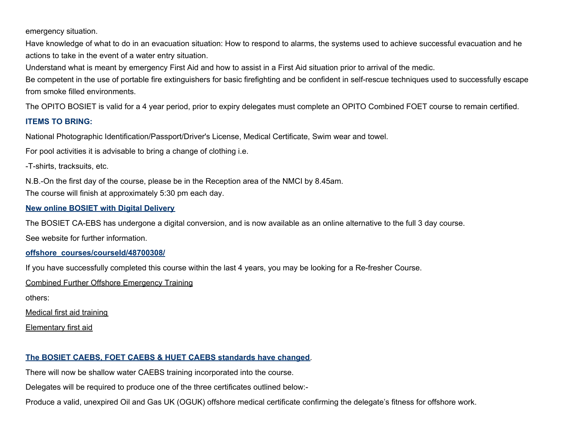emergency situation.

Have knowledge of what to do in an evacuation situation: How to respond to alarms, the systems used to achieve successful evacuation and he actions to take in the event of a water entry situation.

Understand what is meant by emergency First Aid and how to assist in a First Aid situation prior to arrival of the medic.

Be competent in the use of portable fire extinguishers for basic firefighting and be confident in self-rescue techniques used to successfully escape from smoke filled environments.

The OPITO BOSIET is valid for a 4 year period, prior to expiry delegates must complete an OPITO Combined FOET course to remain certified.

#### **ITEMS TO BRING:**

National Photographic Identification/Passport/Driver's License, Medical Certificate, Swim wear and towel.

For pool activities it is advisable to bring a change of clothing i.e.

-T-shirts, tracksuits, etc.

N.B.-On the first day of the course, please be in the Reception area of the NMCI by 8.45am.

The course will finish at approximately 5:30 pm each day.

**New online BOSIET with Digital Delivery**

The BOSIET CA-EBS has undergone a digital conversion, and is now available as an online alternative to the full 3 day course.

See website for further information.

**offshore\_courses/courseId/48700308/**

If you have successfully completed this course within the last 4 years, you may be looking for a Re-fresher Course.

Combined Further Offshore Emergency Training

others:

Medical first aid training

Elementary first aid

## **The BOSIET CAEBS, FOET CAEBS & HUET CAEBS standards have changed**.

There will now be shallow water CAEBS training incorporated into the course.

Delegates will be required to produce one of the three certificates outlined below:-

Produce a valid, unexpired Oil and Gas UK (OGUK) offshore medical certificate confirming the delegate's fitness for offshore work.